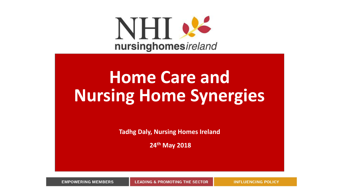

# **Home Care and Nursing Home Synergies**

**Tadhg Daly, Nursing Homes Ireland** 

**24th May 2018**

**EMPOWERING MEMBERS LEADING & PROMOTING THE SECTOR**  **INFLUENCING POLICY**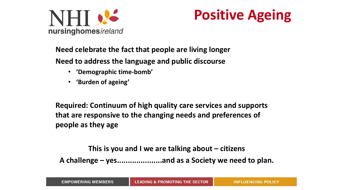

## **Positive Ageing**

### **Need celebrate the fact that people are living longer**

**Need to address the language and public discourse**

- **'Demographic time-bomb'**
- **'Burden of ageing'**

**Required: Continuum of high quality care services and supports that are responsive to the changing needs and preferences of people as they age**

**This is you and I we are talking about – citizens A challenge – yes.....................and as a Society we need to plan.**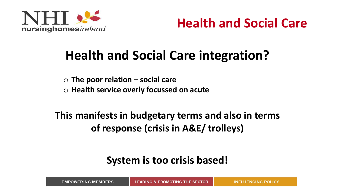

**Health and Social Care**

## **Health and Social Care integration?**

o **The poor relation – social care**

o **Health service overly focussed on acute** 

**This manifests in budgetary terms and also in terms of response (crisis in A&E/ trolleys)**

### **System is too crisis based!**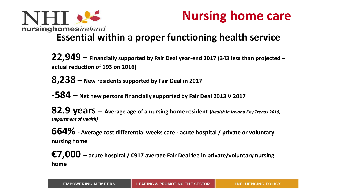



### **Essential within a proper functioning health service**

**22,949 – Financially supported by Fair Deal year-end 2017 (343 less than projected – actual reduction of 193 on 2016)**

**8,238 – New residents supported by Fair Deal in 2017**

**-584 – Net new persons financially supported by Fair Deal 2013 V 2017**

**82.9 years – Average age of a nursing home resident (***Health in Ireland Key Trends 2016, Department of Health)*

**664% - Average cost differential weeks care - acute hospital / private or voluntary nursing home**

**€7,000 – acute hospital / €917 average Fair Deal fee in private/voluntary nursing home**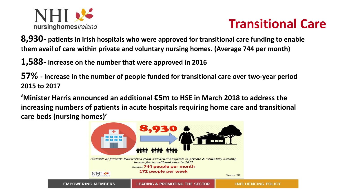

## **Transitional Care**

**8,930- patients in Irish hospitals who were approved for transitional care funding to enable them avail of care within private and voluntary nursing homes. (Average 744 per month)**

**1,588- increase on the number that were approved in 2016** 

**57% - Increase in the number of people funded for transitional care over two-year period 2015 to 2017** 

**'Minister Harris announced an additional €5m to HSE in March 2018 to address the increasing numbers of patients in acute hospitals requiring home care and transitional care beds (nursing homes)'**

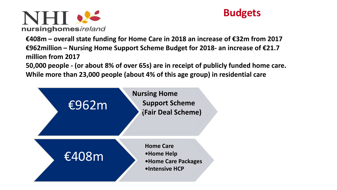



**€408m – overall state funding for Home Care in 2018 an increase of €32m from 2017 €962million – Nursing Home Support Scheme Budget for 2018- an increase of €21.7 million from 2017**

**50,000 people - (or about 8% of over 65s) are in receipt of publicly funded home care. While more than 23,000 people (about 4% of this age group) in residential care**

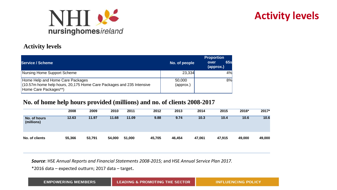

### **Activity levels**

#### **Activity levels**

| <b>Service / Scheme</b>                                                                                                             | No. of people       | <b>Proportion</b><br><b>65s</b><br>over<br>(approx.) |
|-------------------------------------------------------------------------------------------------------------------------------------|---------------------|------------------------------------------------------|
| Nursing Home Support Scheme                                                                                                         | 23,334              | 4%                                                   |
| Home Help and Home Care Packages<br>$(10.57m$ home help hours, 20,175 Home Care Packages and 235 Intensive<br>Home Care Packages**) | 50,000<br>(approx.) | 8%                                                   |

#### **No. of home help hours provided (millions) and no. of clients 2008-2017**

|                            | 2008   | 2009   | 2010   | 2011   | 2012   | 2013   | 2014   | 2015   | 2016*  | $2017*$ |
|----------------------------|--------|--------|--------|--------|--------|--------|--------|--------|--------|---------|
| No. of hours<br>(millions) | 12.63  | 11.97  | 11.68  | 11.09  | 9.88   | 9.74   | 10.3   | 10.4   | 10.6   | 10.6    |
| No. of clients             | 55,366 | 53,791 | 54,000 | 51,000 | 45,705 | 46,454 | 47,061 | 47,915 | 49,000 | 49,000  |

*Source*: HSE *Annual Reports and Financial Statements 2008-2015;* and HSE *Annual Service Plan 2017.*

\*2016 data – expected outturn; 2017 data – target.

| <b>EMPOWERING MEMBERS</b> | <b>LEADING &amp; PROMOTING THE SECTOR</b> | <b>INFLUENCING POLICY</b> |
|---------------------------|-------------------------------------------|---------------------------|
|---------------------------|-------------------------------------------|---------------------------|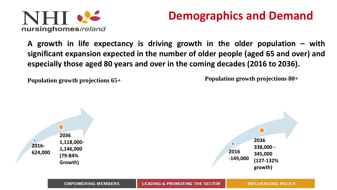

## **Demographics and Demand**

**A growth in life expectancy is driving growth in the older population – with significant expansion expected in the number of older people (aged 65 and over) and especially those aged 80 years and over in the coming decades (2016 to 2036).**

**Population growth projections 65+** 

**Population growth projections 80+** 

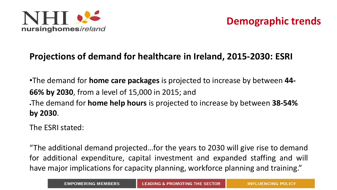

### **Projections of demand for healthcare in Ireland, 2015-2030: ESRI**

•The demand for **home care packages** is projected to increase by between **44- 66% by 2030**, from a level of 15,000 in 2015; and •The demand for **home help hours** is projected to increase by between **38-54% by 2030**.

The ESRI stated:

"The additional demand projected…for the years to 2030 will give rise to demand for additional expenditure, capital investment and expanded staffing and will have major implications for capacity planning, workforce planning and training."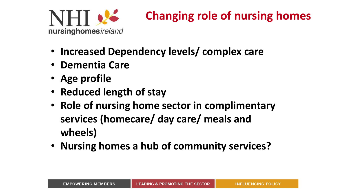

## **Changing role of nursing homes**

- **Increased Dependency levels/ complex care**
- **Dementia Care**
- **Age profile**
- **Reduced length of stay**
- **Role of nursing home sector in complimentary services (homecare/ day care/ meals and wheels)**
- **Nursing homes a hub of community services?**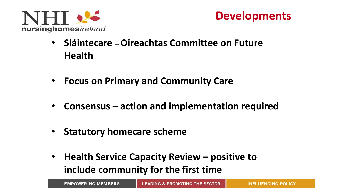



- **Sláintecare – Oireachtas Committee on Future Health**
- **Focus on Primary and Community Care**
- **Consensus – action and implementation required**
- **Statutory homecare scheme**
- **Health Service Capacity Review – positive to include community for the first time**

| <b>EMPOWERING MEMBERS</b> |  |
|---------------------------|--|
|---------------------------|--|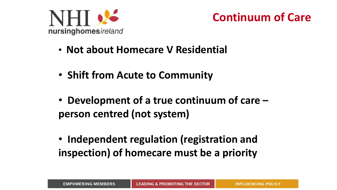



- **Not about Homecare V Residential**
- **Shift from Acute to Community**
- **Development of a true continuum of care – person centred (not system)**
- **Independent regulation (registration and inspection) of homecare must be a priority**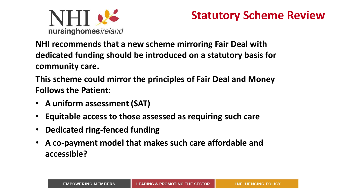

### **Statutory Scheme Review**

**NHI recommends that a new scheme mirroring Fair Deal with dedicated funding should be introduced on a statutory basis for community care.** 

**This scheme could mirror the principles of Fair Deal and Money Follows the Patient:**

- **A uniform assessment (SAT)**
- **Equitable access to those assessed as requiring such care**
- **Dedicated ring-fenced funding**
- **A co-payment model that makes such care affordable and accessible?**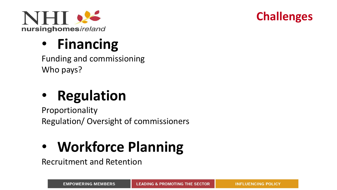



## • **Financing**

Funding and commissioning Who pays?

# • **Regulation**

Proportionality Regulation/ Oversight of commissioners

# • **Workforce Planning**

Recruitment and Retention